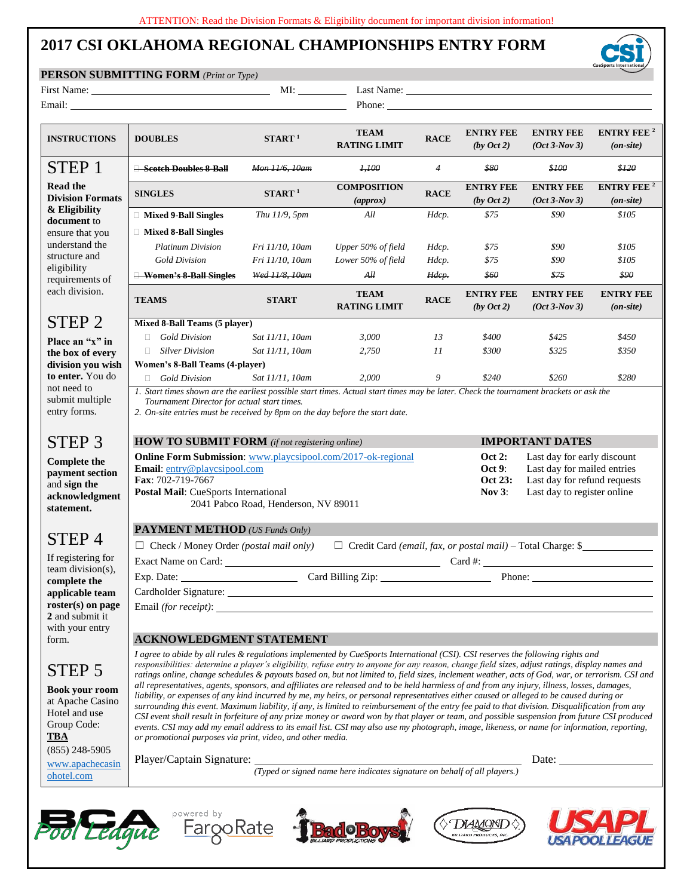## **2017 CSI OKLAHOMA REGIONAL CHAMPIONSHIPS ENTRY FORM**

## **PERSON SUBMITTING FORM** *(Print or Type)*

|                                                                                                                       | <b>PERSON SUBMITTING FORM</b> (Print or Type)                                                                                                                                                                                                                                                                                                                                                                                                                                                                                                                                                                                                                                                                                                                                                                                                                                                                                                                                                                                                                                                                                                                                                                                                          |                                      |                                                             |                                                                                                                                                                                     |                                          |                                                                                                                                                                                                                                |                                                  |  |  |  |  |
|-----------------------------------------------------------------------------------------------------------------------|--------------------------------------------------------------------------------------------------------------------------------------------------------------------------------------------------------------------------------------------------------------------------------------------------------------------------------------------------------------------------------------------------------------------------------------------------------------------------------------------------------------------------------------------------------------------------------------------------------------------------------------------------------------------------------------------------------------------------------------------------------------------------------------------------------------------------------------------------------------------------------------------------------------------------------------------------------------------------------------------------------------------------------------------------------------------------------------------------------------------------------------------------------------------------------------------------------------------------------------------------------|--------------------------------------|-------------------------------------------------------------|-------------------------------------------------------------------------------------------------------------------------------------------------------------------------------------|------------------------------------------|--------------------------------------------------------------------------------------------------------------------------------------------------------------------------------------------------------------------------------|--------------------------------------------------|--|--|--|--|
|                                                                                                                       |                                                                                                                                                                                                                                                                                                                                                                                                                                                                                                                                                                                                                                                                                                                                                                                                                                                                                                                                                                                                                                                                                                                                                                                                                                                        | MI:                                  |                                                             |                                                                                                                                                                                     |                                          | Last Name: Name and Solid School and School and School and School and School and School and School and School and School and School and School and School and School and School and School and School and School and School an |                                                  |  |  |  |  |
|                                                                                                                       |                                                                                                                                                                                                                                                                                                                                                                                                                                                                                                                                                                                                                                                                                                                                                                                                                                                                                                                                                                                                                                                                                                                                                                                                                                                        |                                      |                                                             |                                                                                                                                                                                     | Phone:                                   |                                                                                                                                                                                                                                |                                                  |  |  |  |  |
| <b>INSTRUCTIONS</b>                                                                                                   | <b>DOUBLES</b>                                                                                                                                                                                                                                                                                                                                                                                                                                                                                                                                                                                                                                                                                                                                                                                                                                                                                                                                                                                                                                                                                                                                                                                                                                         | START <sup>1</sup>                   | <b>TEAM</b><br><b>RACE</b><br><b>RATING LIMIT</b>           |                                                                                                                                                                                     | <b>ENTRY FEE</b><br>$(by$ Oct 2)         | <b>ENTRY FEE</b><br>$(Oct 3-Nov 3)$                                                                                                                                                                                            | <b>ENTRY FEE</b> <sup>2</sup><br>$($ on-site $)$ |  |  |  |  |
| STEP 1                                                                                                                | Scotch Doubles 8-Ball                                                                                                                                                                                                                                                                                                                                                                                                                                                                                                                                                                                                                                                                                                                                                                                                                                                                                                                                                                                                                                                                                                                                                                                                                                  | Mon 11/6, 10am                       | 4,100                                                       | $\overline{4}$                                                                                                                                                                      | \$80                                     | \$100                                                                                                                                                                                                                          | \$120                                            |  |  |  |  |
| <b>Read the</b><br><b>Division Formats</b><br>& Eligibility<br>document to<br>ensure that you<br>understand the       | <b>SINGLES</b>                                                                                                                                                                                                                                                                                                                                                                                                                                                                                                                                                                                                                                                                                                                                                                                                                                                                                                                                                                                                                                                                                                                                                                                                                                         | $START$ <sup>1</sup>                 | <b>COMPOSITION</b><br><b>RACE</b><br>$\left( approx\right)$ |                                                                                                                                                                                     | <b>ENTRY FEE</b><br>$(bv \cdot 2)$       | <b>ENTRY FEE</b><br>$(Oct 3-Nov 3)$                                                                                                                                                                                            | <b>ENTRY FEE</b> <sup>2</sup><br>$($ on-site $)$ |  |  |  |  |
|                                                                                                                       | □ Mixed 9-Ball Singles                                                                                                                                                                                                                                                                                                                                                                                                                                                                                                                                                                                                                                                                                                                                                                                                                                                                                                                                                                                                                                                                                                                                                                                                                                 | Thu 11/9, 5pm                        | All                                                         | Hdcp.                                                                                                                                                                               | \$75                                     | \$90                                                                                                                                                                                                                           | \$105                                            |  |  |  |  |
|                                                                                                                       | □ Mixed 8-Ball Singles                                                                                                                                                                                                                                                                                                                                                                                                                                                                                                                                                                                                                                                                                                                                                                                                                                                                                                                                                                                                                                                                                                                                                                                                                                 |                                      |                                                             |                                                                                                                                                                                     |                                          |                                                                                                                                                                                                                                |                                                  |  |  |  |  |
|                                                                                                                       | <b>Platinum Division</b>                                                                                                                                                                                                                                                                                                                                                                                                                                                                                                                                                                                                                                                                                                                                                                                                                                                                                                                                                                                                                                                                                                                                                                                                                               | Fri 11/10, 10am                      | Upper 50% of field                                          | Hdcp.                                                                                                                                                                               | \$75                                     | \$90                                                                                                                                                                                                                           | \$105                                            |  |  |  |  |
| structure and                                                                                                         | <b>Gold Division</b>                                                                                                                                                                                                                                                                                                                                                                                                                                                                                                                                                                                                                                                                                                                                                                                                                                                                                                                                                                                                                                                                                                                                                                                                                                   | Fri 11/10, 10am                      | Lower 50% of field                                          | Hdcp.                                                                                                                                                                               | \$75                                     | \$90                                                                                                                                                                                                                           | \$105                                            |  |  |  |  |
| eligibility                                                                                                           | <b>Women's 8-Ball Singles</b>                                                                                                                                                                                                                                                                                                                                                                                                                                                                                                                                                                                                                                                                                                                                                                                                                                                                                                                                                                                                                                                                                                                                                                                                                          | Wed 11/8, 10am                       | AH                                                          | Hdep.                                                                                                                                                                               |                                          | \$75                                                                                                                                                                                                                           | \$90                                             |  |  |  |  |
| requirements of<br>each division.                                                                                     | <b>TEAMS</b>                                                                                                                                                                                                                                                                                                                                                                                                                                                                                                                                                                                                                                                                                                                                                                                                                                                                                                                                                                                                                                                                                                                                                                                                                                           | <b>START</b>                         | <b>TEAM</b><br><b>RATING LIMIT</b>                          | <b>RACE</b>                                                                                                                                                                         | \$60<br><b>ENTRY FEE</b><br>$(by$ Oct 2) | <b>ENTRY FEE</b><br>$(Oct 3-Nov 3)$                                                                                                                                                                                            | <b>ENTRY FEE</b><br>$($ on-site $)$              |  |  |  |  |
| STEP <sub>2</sub>                                                                                                     | Mixed 8-Ball Teams (5 player)                                                                                                                                                                                                                                                                                                                                                                                                                                                                                                                                                                                                                                                                                                                                                                                                                                                                                                                                                                                                                                                                                                                                                                                                                          |                                      |                                                             |                                                                                                                                                                                     |                                          |                                                                                                                                                                                                                                |                                                  |  |  |  |  |
|                                                                                                                       | $\Box$ Gold Division                                                                                                                                                                                                                                                                                                                                                                                                                                                                                                                                                                                                                                                                                                                                                                                                                                                                                                                                                                                                                                                                                                                                                                                                                                   | Sat 11/11, 10am                      | 3,000                                                       | 13                                                                                                                                                                                  | \$400                                    | \$425                                                                                                                                                                                                                          | \$450                                            |  |  |  |  |
| Place an "x" in<br>the box of every                                                                                   | $\Box$ Silver Division                                                                                                                                                                                                                                                                                                                                                                                                                                                                                                                                                                                                                                                                                                                                                                                                                                                                                                                                                                                                                                                                                                                                                                                                                                 | Sat 11/11, 10am                      | 2,750                                                       | 11                                                                                                                                                                                  | \$300                                    | \$325                                                                                                                                                                                                                          | \$350                                            |  |  |  |  |
| division you wish                                                                                                     | Women's 8-Ball Teams (4-player)                                                                                                                                                                                                                                                                                                                                                                                                                                                                                                                                                                                                                                                                                                                                                                                                                                                                                                                                                                                                                                                                                                                                                                                                                        |                                      |                                                             |                                                                                                                                                                                     |                                          |                                                                                                                                                                                                                                |                                                  |  |  |  |  |
| to enter. You do                                                                                                      | $\Box$ Gold Division                                                                                                                                                                                                                                                                                                                                                                                                                                                                                                                                                                                                                                                                                                                                                                                                                                                                                                                                                                                                                                                                                                                                                                                                                                   | Sat 11/11, 10am                      | 2,000                                                       | 9                                                                                                                                                                                   | \$240                                    | \$260                                                                                                                                                                                                                          | \$280                                            |  |  |  |  |
| not need to<br>submit multiple<br>entry forms.                                                                        | 1. Start times shown are the earliest possible start times. Actual start times may be later. Check the tournament brackets or ask the<br>Tournament Director for actual start times.<br>2. On-site entries must be received by 8pm on the day before the start date.                                                                                                                                                                                                                                                                                                                                                                                                                                                                                                                                                                                                                                                                                                                                                                                                                                                                                                                                                                                   |                                      |                                                             |                                                                                                                                                                                     |                                          |                                                                                                                                                                                                                                |                                                  |  |  |  |  |
| STEP <sub>3</sub>                                                                                                     | <b>HOW TO SUBMIT FORM</b> (if not registering online)                                                                                                                                                                                                                                                                                                                                                                                                                                                                                                                                                                                                                                                                                                                                                                                                                                                                                                                                                                                                                                                                                                                                                                                                  |                                      |                                                             |                                                                                                                                                                                     |                                          | <b>IMPORTANT DATES</b>                                                                                                                                                                                                         |                                                  |  |  |  |  |
| <b>Complete the</b><br>payment section<br>and sign the<br>acknowledgment<br>statement.                                | Online Form Submission: www.playcsipool.com/2017-ok-regional<br>Email: entry@playcsipool.com<br>Fax: 702-719-7667<br>Postal Mail: CueSports International                                                                                                                                                                                                                                                                                                                                                                                                                                                                                                                                                                                                                                                                                                                                                                                                                                                                                                                                                                                                                                                                                              | 2041 Pabco Road, Henderson, NV 89011 |                                                             | <b>Oct 2:</b><br>Last day for early discount<br>Last day for mailed entries<br>Oct 9:<br>Last day for refund requests<br><b>Oct 23:</b><br>Nov $3$ :<br>Last day to register online |                                          |                                                                                                                                                                                                                                |                                                  |  |  |  |  |
| STEP <sub>4</sub><br>If registering for<br>$team$ division(s).<br>complete the                                        | <b>PAYMENT METHOD</b> (US Funds Only)                                                                                                                                                                                                                                                                                                                                                                                                                                                                                                                                                                                                                                                                                                                                                                                                                                                                                                                                                                                                                                                                                                                                                                                                                  |                                      |                                                             |                                                                                                                                                                                     |                                          |                                                                                                                                                                                                                                |                                                  |  |  |  |  |
|                                                                                                                       | $\Box$ Credit Card (email, fax, or postal mail) – Total Charge: \$<br>$\Box$ Check / Money Order ( <i>postal mail only</i> )                                                                                                                                                                                                                                                                                                                                                                                                                                                                                                                                                                                                                                                                                                                                                                                                                                                                                                                                                                                                                                                                                                                           |                                      |                                                             |                                                                                                                                                                                     |                                          |                                                                                                                                                                                                                                |                                                  |  |  |  |  |
|                                                                                                                       | Card #:                                                                                                                                                                                                                                                                                                                                                                                                                                                                                                                                                                                                                                                                                                                                                                                                                                                                                                                                                                                                                                                                                                                                                                                                                                                |                                      |                                                             |                                                                                                                                                                                     |                                          |                                                                                                                                                                                                                                |                                                  |  |  |  |  |
|                                                                                                                       | Exp. Date:                                                                                                                                                                                                                                                                                                                                                                                                                                                                                                                                                                                                                                                                                                                                                                                                                                                                                                                                                                                                                                                                                                                                                                                                                                             | Card Billing Zip:                    |                                                             | Phone:                                                                                                                                                                              |                                          |                                                                                                                                                                                                                                |                                                  |  |  |  |  |
| applicable team                                                                                                       |                                                                                                                                                                                                                                                                                                                                                                                                                                                                                                                                                                                                                                                                                                                                                                                                                                                                                                                                                                                                                                                                                                                                                                                                                                                        |                                      |                                                             |                                                                                                                                                                                     |                                          |                                                                                                                                                                                                                                |                                                  |  |  |  |  |
| roster(s) on page                                                                                                     |                                                                                                                                                                                                                                                                                                                                                                                                                                                                                                                                                                                                                                                                                                                                                                                                                                                                                                                                                                                                                                                                                                                                                                                                                                                        |                                      |                                                             |                                                                                                                                                                                     |                                          |                                                                                                                                                                                                                                |                                                  |  |  |  |  |
| 2 and submit it                                                                                                       |                                                                                                                                                                                                                                                                                                                                                                                                                                                                                                                                                                                                                                                                                                                                                                                                                                                                                                                                                                                                                                                                                                                                                                                                                                                        |                                      |                                                             |                                                                                                                                                                                     |                                          |                                                                                                                                                                                                                                |                                                  |  |  |  |  |
| with your entry<br>form.                                                                                              | <b>ACKNOWLEDGMENT STATEMENT</b>                                                                                                                                                                                                                                                                                                                                                                                                                                                                                                                                                                                                                                                                                                                                                                                                                                                                                                                                                                                                                                                                                                                                                                                                                        |                                      |                                                             |                                                                                                                                                                                     |                                          |                                                                                                                                                                                                                                |                                                  |  |  |  |  |
|                                                                                                                       |                                                                                                                                                                                                                                                                                                                                                                                                                                                                                                                                                                                                                                                                                                                                                                                                                                                                                                                                                                                                                                                                                                                                                                                                                                                        |                                      |                                                             |                                                                                                                                                                                     |                                          |                                                                                                                                                                                                                                |                                                  |  |  |  |  |
| STEP 5<br><b>Book your room</b><br>at Apache Casino<br>Hotel and use<br>Group Code:<br><b>TBA</b><br>$(855)$ 248-5905 | I agree to abide by all rules & regulations implemented by CueSports International (CSI). CSI reserves the following rights and<br>responsibilities: determine a player's eligibility, refuse entry to anyone for any reason, change field sizes, adjust ratings, display names and<br>ratings online, change schedules & payouts based on, but not limited to, field sizes, inclement weather, acts of God, war, or terrorism. CSI and<br>all representatives, agents, sponsors, and affiliates are released and to be held harmless of and from any injury, illness, losses, damages,<br>liability, or expenses of any kind incurred by me, my heirs, or personal representatives either caused or alleged to be caused during or<br>surrounding this event. Maximum liability, if any, is limited to reimbursement of the entry fee paid to that division. Disqualification from any<br>CSI event shall result in forfeiture of any prize money or award won by that player or team, and possible suspension from future CSI produced<br>events. CSI may add my email address to its email list. CSI may also use my photograph, image, likeness, or name for information, reporting,<br>or promotional purposes via print, video, and other media. |                                      |                                                             |                                                                                                                                                                                     |                                          |                                                                                                                                                                                                                                |                                                  |  |  |  |  |
| www.apachecasin                                                                                                       |                                                                                                                                                                                                                                                                                                                                                                                                                                                                                                                                                                                                                                                                                                                                                                                                                                                                                                                                                                                                                                                                                                                                                                                                                                                        |                                      |                                                             |                                                                                                                                                                                     |                                          |                                                                                                                                                                                                                                |                                                  |  |  |  |  |
| ohotel.com                                                                                                            | Player/Captain Signature: Typed or signed name here indicates signature on behalf of all players.)                                                                                                                                                                                                                                                                                                                                                                                                                                                                                                                                                                                                                                                                                                                                                                                                                                                                                                                                                                                                                                                                                                                                                     |                                      |                                                             |                                                                                                                                                                                     |                                          |                                                                                                                                                                                                                                |                                                  |  |  |  |  |